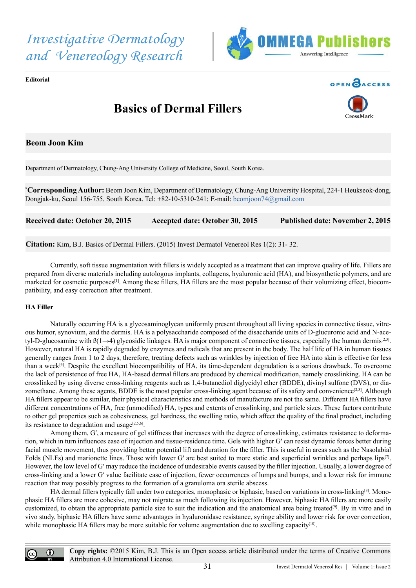



**Editorial**



# **Basics of Dermal Fillers**



# **Beom Joon Kim**

Department of Dermatology, Chung-Ang University College of Medicine, Seoul, South Korea.

**\* Corresponding Author:** Beom Joon Kim, Department of Dermatology, Chung-Ang University Hospital, 224-1 Heukseok-dong, Dongjak-ku, Seoul 156-755, South Korea. Tel: +82-10-5310-241; E-mail: [beomjoon74@gmail.com](mailto:beomjoon74@gmail.com)

**Received date: October 20, 2015 Accepted date: October 30, 2015 Published date: November 2, 2015**

**Citation:** Kim, B.J. Basics of Dermal Fillers. (2015) Invest Dermatol Venereol Res 1(2): 31- 32.

 Currently, soft tissue augmentation with fillers is widely accepted as a treatment that can improve quality of life. Fillers are prepared from diverse materials including autologous implants, collagens, hyaluronic acid (HA), and biosynthetic polymers, and are marketed for cosmetic purposes<sup>[1]</sup>. Among these fillers, HA fillers are the most popular because of their volumizing effect, biocompatibility, and easy correction after treatment.

#### **HA Filler**

 Naturally occurring HA is a glycosaminoglycan uniformly present throughout all living species in connective tissue, vitreous humor, synovium, and the dermis. HA is a polysaccharide composed of the disaccharide units of D-glucuronic acid and N-acetyl-D-glucosamine with  $\beta(1\rightarrow4)$  glycosidic linkages. HA is major component of connective tissues, especially the human dermis<sup>[2,3]</sup>. However, natural HA is rapidly degraded by enzymes and radicals that are present in the body. The half life of HA in human tissues generally ranges from 1 to 2 days, therefore, treating defects such as wrinkles by injection of free HA into skin is effective for less than a week<sup>[4]</sup>. Despite the excellent biocompatibility of HA, its time-dependent degradation is a serious drawback. To overcome the lack of persistence of free HA, HA-based dermal fillers are produced by chemical modification, namely crosslinking. HA can be crosslinked by using diverse cross-linking reagents such as 1,4-butanediol diglycidyl ether (BDDE), divinyl sulfone (DVS), or diazomethane. Among these agents, BDDE is the most popular cross-linking agent because of its safety and convenience<sup>[2,3]</sup>. Although HA fillers appear to be similar, their physical characteristics and methods of manufacture are not the same. Different HA fillers have different concentrations of HA, free (unmodified) HA, types and extents of crosslinking, and particle sizes. These factors contribute to other gel properties such as cohesiveness, gel hardness, the swelling ratio, which affect the quality of the final product, including its resistance to degradation and usage $[2,5,6]$ .

Among them, G', a measure of gel stiffness that increases with the degree of crosslinking, estimates resistance to deformation, which in turn influences ease of injection and tissue-residence time. Gels with higher G′ can resist dynamic forces better during facial muscle movement, thus providing better potential lift and duration for the filler. This is useful in areas such as the Nasolabial Folds (NLFs) and marionette lines. Those with lower G' are best suited to more static and superficial wrinkles and perhaps lips<sup>[7]</sup>. However, the low level of G′ may reduce the incidence of undesirable events caused by the filler injection. Usually, a lower degree of cross-linking and a lower G′ value facilitate ease of injection, fewer occurrences of lumps and bumps, and a lower risk for immune reaction that may possibly progress to the formation of a granuloma ora sterile abscess.

 HA dermal fillers typically fall under two categories, monophasic or biphasic, based on variations in cross-linking[8]. Monophasic HA fillers are more cohesive, may not migrate as much following its injection. However, biphasic HA fillers are more easily customized, to obtain the appropriate particle size to suit the indication and the anatomical area being treated[9]. By in vitro and in vivo study, biphasic HA fillers have some advantages in hyaluronidase resistance, syringe ability and lower risk for over correction, while monophasic HA fillers may be more suitable for volume augmentation due to swelling capacity<sup>[10]</sup>.

 $\boldsymbol{\Theta}$ 

**Copy rights:** ©2015 Kim, B.J. This is an Open access article distributed under the terms of Creative Commons Attribution 4.0 International License.